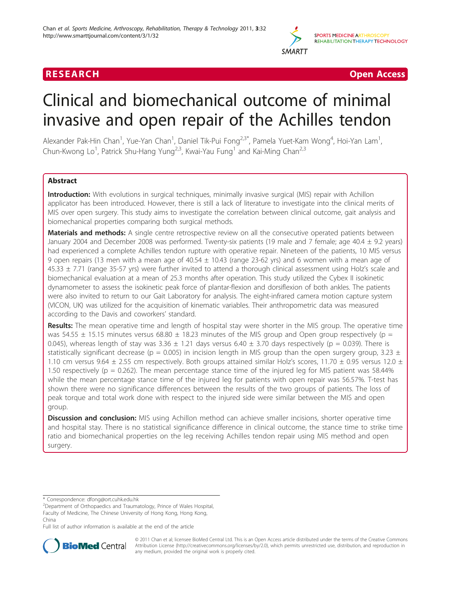

**RESEARCH Open Access** (2009) 2014 12:30 and 2014 2015 2016 2017 2018 2019 2019 2014 2015 2016 2017 2018 2017 20

# Clinical and biomechanical outcome of minimal invasive and open repair of the Achilles tendon

Alexander Pak-Hin Chan<sup>1</sup>, Yue-Yan Chan<sup>1</sup>, Daniel Tik-Pui Fong<sup>2,3\*</sup>, Pamela Yuet-Kam Wong<sup>4</sup>, Hoi-Yan Lam<sup>1</sup> , Chun-Kwong Lo<sup>1</sup>, Patrick Shu-Hang Yung<sup>2,3</sup>, Kwai-Yau Fung<sup>1</sup> and Kai-Ming Chan<sup>2,3</sup>

# Abstract

Introduction: With evolutions in surgical techniques, minimally invasive surgical (MIS) repair with Achillon applicator has been introduced. However, there is still a lack of literature to investigate into the clinical merits of MIS over open surgery. This study aims to investigate the correlation between clinical outcome, gait analysis and biomechanical properties comparing both surgical methods.

Materials and methods: A single centre retrospective review on all the consecutive operated patients between January 2004 and December 2008 was performed. Twenty-six patients (19 male and 7 female; age  $40.4 \pm 9.2$  years) had experienced a complete Achilles tendon rupture with operative repair. Nineteen of the patients, 10 MIS versus 9 open repairs (13 men with a mean age of  $40.54 \pm 10.43$  (range 23-62 yrs) and 6 women with a mean age of 45.33 ± 7.71 (range 35-57 yrs) were further invited to attend a thorough clinical assessment using Holz's scale and biomechanical evaluation at a mean of 25.3 months after operation. This study utilized the Cybex II isokinetic dynamometer to assess the isokinetic peak force of plantar-flexion and dorsiflexion of both ankles. The patients were also invited to return to our Gait Laboratory for analysis. The eight-infrared camera motion capture system (VICON, UK) was utilized for the acquisition of kinematic variables. Their anthropometric data was measured according to the Davis and coworkers' standard.

Results: The mean operative time and length of hospital stay were shorter in the MIS group. The operative time was 54.55  $\pm$  15.15 minutes versus 68.80  $\pm$  18.23 minutes of the MIS group and Open group respectively (p = 0.045), whereas length of stay was  $3.36 \pm 1.21$  days versus  $6.40 \pm 3.70$  days respectively (p = 0.039). There is statistically significant decrease (p = 0.005) in incision length in MIS group than the open surgery group, 3.23  $\pm$ 1.10 cm versus 9.64  $\pm$  2.55 cm respectively. Both groups attained similar Holz's scores, 11.70  $\pm$  0.95 versus 12.0  $\pm$ 1.50 respectively ( $p = 0.262$ ). The mean percentage stance time of the injured leg for MIS patient was 58.44% while the mean percentage stance time of the injured leg for patients with open repair was 56.57%. T-test has shown there were no significance differences between the results of the two groups of patients. The loss of peak torque and total work done with respect to the injured side were similar between the MIS and open group.

**Discussion and conclusion:** MIS using Achillon method can achieve smaller incisions, shorter operative time and hospital stay. There is no statistical significance difference in clinical outcome, the stance time to strike time ratio and biomechanical properties on the leg receiving Achilles tendon repair using MIS method and open surgery.

\* Correspondence: [dfong@ort.cuhk.edu.hk](mailto:dfong@ort.cuhk.edu.hk)

<sup>2</sup> Department of Orthopaedics and Traumatology, Prince of Wales Hospital, Faculty of Medicine, The Chinese University of Hong Kong, Hong Kong, China

Full list of author information is available at the end of the article



© 2011 Chan et al; licensee BioMed Central Ltd. This is an Open Access article distributed under the terms of the Creative Commons Attribution License [\(http://creativecommons.org/licenses/by/2.0](http://creativecommons.org/licenses/by/2.0)), which permits unrestricted use, distribution, and reproduction in any medium, provided the original work is properly cited.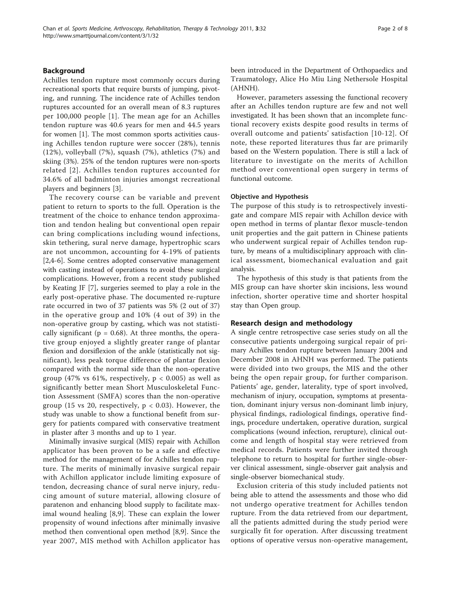### Background

Achilles tendon rupture most commonly occurs during recreational sports that require bursts of jumping, pivoting, and running. The incidence rate of Achilles tendon ruptures accounted for an overall mean of 8.3 ruptures per 100,000 people [[1\]](#page-7-0). The mean age for an Achilles tendon rupture was 40.6 years for men and 44.5 years for women [[1](#page-7-0)]. The most common sports activities causing Achilles tendon rupture were soccer (28%), tennis (12%), volleyball (7%), squash (7%), athletics (7%) and skiing (3%). 25% of the tendon ruptures were non-sports related [[2\]](#page-7-0). Achilles tendon ruptures accounted for 34.6% of all badminton injuries amongst recreational players and beginners [\[3\]](#page-7-0).

The recovery course can be variable and prevent patient to return to sports to the full. Operation is the treatment of the choice to enhance tendon approximation and tendon healing but conventional open repair can bring complications including wound infections, skin tethering, sural nerve damage, hypertrophic scars are not uncommon, accounting for 4-19% of patients [[2,4-6](#page-7-0)]. Some centres adopted conservative management with casting instead of operations to avoid these surgical complications. However, from a recent study published by Keating JF [\[7](#page-7-0)], surgeries seemed to play a role in the early post-operative phase. The documented re-rupture rate occurred in two of 37 patients was 5% (2 out of 37) in the operative group and 10% (4 out of 39) in the non-operative group by casting, which was not statistically significant ( $p = 0.68$ ). At three months, the operative group enjoyed a slightly greater range of plantar flexion and dorsiflexion of the ankle (statistically not significant), less peak torque difference of plantar flexion compared with the normal side than the non-operative group (47% vs 61%, respectively,  $p < 0.005$ ) as well as significantly better mean Short Musculoskeletal Function Assessment (SMFA) scores than the non-operative group (15 vs 20, respectively,  $p < 0.03$ ). However, the study was unable to show a functional benefit from surgery for patients compared with conservative treatment in plaster after 3 months and up to 1 year.

Minimally invasive surgical (MIS) repair with Achillon applicator has been proven to be a safe and effective method for the management of for Achilles tendon rupture. The merits of minimally invasive surgical repair with Achillon applicator include limiting exposure of tendon, decreasing chance of sural nerve injury, reducing amount of suture material, allowing closure of paratenon and enhancing blood supply to facilitate maximal wound healing [[8,9](#page-7-0)]. These can explain the lower propensity of wound infections after minimally invasive method then conventional open method [\[8](#page-7-0),[9\]](#page-7-0). Since the year 2007, MIS method with Achillon applicator has been introduced in the Department of Orthopaedics and Traumatology, Alice Ho Miu Ling Nethersole Hospital (AHNH).

However, parameters assessing the functional recovery after an Achilles tendon rupture are few and not well investigated. It has been shown that an incomplete functional recovery exists despite good results in terms of overall outcome and patients' satisfaction [[10](#page-7-0)-[12](#page-7-0)]. Of note, these reported literatures thus far are primarily based on the Western population. There is still a lack of literature to investigate on the merits of Achillon method over conventional open surgery in terms of functional outcome.

#### Objective and Hypothesis

The purpose of this study is to retrospectively investigate and compare MIS repair with Achillon device with open method in terms of plantar flexor muscle-tendon unit properties and the gait pattern in Chinese patients who underwent surgical repair of Achilles tendon rupture, by means of a multidisciplinary approach with clinical assessment, biomechanical evaluation and gait analysis.

The hypothesis of this study is that patients from the MIS group can have shorter skin incisions, less wound infection, shorter operative time and shorter hospital stay than Open group.

#### Research design and methodology

A single centre retrospective case series study on all the consecutive patients undergoing surgical repair of primary Achilles tendon rupture between January 2004 and December 2008 in AHNH was performed. The patients were divided into two groups, the MIS and the other being the open repair group, for further comparison. Patients' age, gender, laterality, type of sport involved, mechanism of injury, occupation, symptoms at presentation, dominant injury versus non-dominant limb injury, physical findings, radiological findings, operative findings, procedure undertaken, operative duration, surgical complications (wound infection, rerupture), clinical outcome and length of hospital stay were retrieved from medical records. Patients were further invited through telephone to return to hospital for further single-observer clinical assessment, single-observer gait analysis and single-observer biomechanical study.

Exclusion criteria of this study included patients not being able to attend the assessments and those who did not undergo operative treatment for Achilles tendon rupture. From the data retrieved from our department, all the patients admitted during the study period were surgically fit for operation. After discussing treatment options of operative versus non-operative management,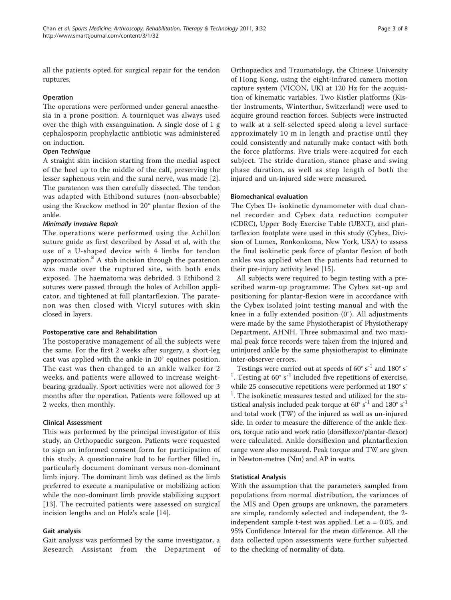all the patients opted for surgical repair for the tendon ruptures.

#### Operation

The operations were performed under general anaesthesia in a prone position. A tourniquet was always used over the thigh with exsanguination. A single dose of 1 g cephalosporin prophylactic antibiotic was administered on induction.

# Open Technique

A straight skin incision starting from the medial aspect of the heel up to the middle of the calf, preserving the lesser saphenous vein and the sural nerve, was made [\[2](#page-7-0)]. The paratenon was then carefully dissected. The tendon was adapted with Ethibond sutures (non-absorbable) using the Krackow method in 20° plantar flexion of the ankle.

# Minimally Invasive Repair

The operations were performed using the Achillon suture guide as first described by Assal et al, with the use of a U-shaped device with 4 limbs for tendon approximation. $8$  A stab incision through the paratenon was made over the ruptured site, with both ends exposed. The haematoma was debrided. 3 Ethibond 2 sutures were passed through the holes of Achillon applicator, and tightened at full plantarflexion. The paratenon was then closed with Vicryl sutures with skin closed in layers.

#### Postoperative care and Rehabilitation

The postoperative management of all the subjects were the same. For the first 2 weeks after surgery, a short-leg cast was applied with the ankle in 20° equines position. The cast was then changed to an ankle walker for 2 weeks, and patients were allowed to increase weightbearing gradually. Sport activities were not allowed for 3 months after the operation. Patients were followed up at 2 weeks, then monthly.

#### Clinical Assessment

This was performed by the principal investigator of this study, an Orthopaedic surgeon. Patients were requested to sign an informed consent form for participation of this study. A questionnaire had to be further filled in, particularly document dominant versus non-dominant limb injury. The dominant limb was defined as the limb preferred to execute a manipulative or mobilizing action while the non-dominant limb provide stabilizing support [[13](#page-7-0)]. The recruited patients were assessed on surgical incision lengths and on Holz's scale [\[14\]](#page-7-0).

#### Gait analysis

Gait analysis was performed by the same investigator, a Research Assistant from the Department of

Orthopaedics and Traumatology, the Chinese University of Hong Kong, using the eight-infrared camera motion capture system (VICON, UK) at 120 Hz for the acquisition of kinematic variables. Two Kistler platforms (Kistler Instruments, Winterthur, Switzerland) were used to acquire ground reaction forces. Subjects were instructed to walk at a self-selected speed along a level surface approximately 10 m in length and practise until they could consistently and naturally make contact with both the force platforms. Five trials were acquired for each subject. The stride duration, stance phase and swing phase duration, as well as step length of both the injured and un-injured side were measured.

#### Biomechanical evaluation

The Cybex II+ isokinetic dynamometer with dual channel recorder and Cybex data reduction computer (CDRC), Upper Body Exercise Table (UBXT), and plantarflexion footplate were used in this study (Cybex, Division of Lumex, Ronkonkoma, New York, USA) to assess the final isokinetic peak force of plantar flexion of both ankles was applied when the patients had returned to their pre-injury activity level [[15](#page-7-0)].

All subjects were required to begin testing with a prescribed warm-up programme. The Cybex set-up and positioning for plantar-flexion were in accordance with the Cybex isolated joint testing manual and with the knee in a fully extended position (0°). All adjustments were made by the same Physiotherapist of Physiotherapy Department, AHNH. Three submaximal and two maximal peak force records were taken from the injured and uninjured ankle by the same physiotherapist to eliminate inter-observer errors.

Testings were carried out at speeds of 60 $^{\circ}$  s<sup>-1</sup> and 180 $^{\circ}$  s<sup>-</sup> <sup>1</sup>. Testing at  $60^{\circ}$  s<sup>-1</sup> included five repetitions of exercise, while 25 consecutive repetitions were performed at 180° s<sup>-</sup> <sup>1</sup>. The isokinetic measures tested and utilized for the statistical analysis included peak torque at  $60^{\circ}$   $\text{s}^{-1}$  and  $180^{\circ}$   $\text{s}^{-1}$ and total work (TW) of the injured as well as un-injured side. In order to measure the difference of the ankle flexors, torque ratio and work ratio (dorsiflexor/plantar-flexor) were calculated. Ankle dorsiflexion and plantarflexion range were also measured. Peak torque and TW are given in Newton-metres (Nm) and AP in watts.

# Statistical Analysis

With the assumption that the parameters sampled from populations from normal distribution, the variances of the MIS and Open groups are unknown, the parameters are simple, randomly selected and independent, the 2 independent sample t-test was applied. Let a = 0.05, and 95% Confidence Interval for the mean difference. All the data collected upon assessments were further subjected to the checking of normality of data.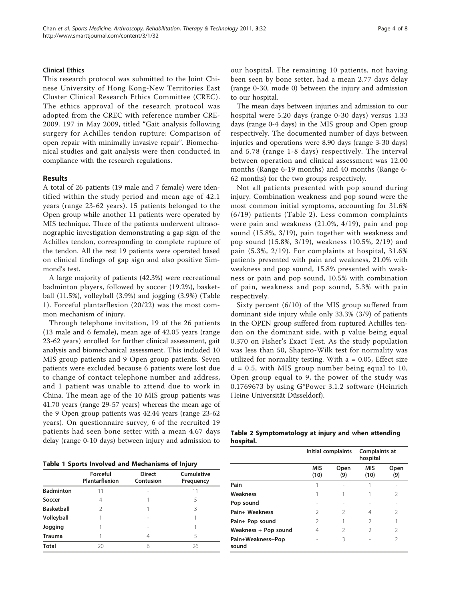#### Clinical Ethics

This research protocol was submitted to the Joint Chinese University of Hong Kong-New Territories East Cluster Clinical Research Ethics Committee (CREC). The ethics approval of the research protocol was adopted from the CREC with reference number CRE-2009. 197 in May 2009, titled "Gait analysis following surgery for Achilles tendon rupture: Comparison of open repair with minimally invasive repair". Biomechanical studies and gait analysis were then conducted in compliance with the research regulations.

### Results

A total of 26 patients (19 male and 7 female) were identified within the study period and mean age of 42.1 years (range 23-62 years). 15 patients belonged to the Open group while another 11 patients were operated by MIS technique. Three of the patients underwent ultrasonographic investigation demonstrating a gap sign of the Achilles tendon, corresponding to complete rupture of the tendon. All the rest 19 patients were operated based on clinical findings of gap sign and also positive Simmond's test.

A large majority of patients (42.3%) were recreational badminton players, followed by soccer (19.2%), basketball (11.5%), volleyball (3.9%) and jogging (3.9%) (Table 1). Forceful plantarflexion (20/22) was the most common mechanism of injury.

Through telephone invitation, 19 of the 26 patients (13 male and 6 female), mean age of 42.05 years (range 23-62 years) enrolled for further clinical assessment, gait analysis and biomechanical assessment. This included 10 MIS group patients and 9 Open group patients. Seven patients were excluded because 6 patients were lost due to change of contact telephone number and address, and 1 patient was unable to attend due to work in China. The mean age of the 10 MIS group patients was 41.70 years (range 29-57 years) whereas the mean age of the 9 Open group patients was 42.44 years (range 23-62 years). On questionnaire survey, 6 of the recruited 19 patients had seen bone setter with a mean 4.67 days delay (range 0-10 days) between injury and admission to

Table 1 Sports Involved and Mechanisms of Injury

|                   | Forceful<br>Plantarflexion | <b>Direct</b><br>Contusion | Cumulative<br>Frequency |
|-------------------|----------------------------|----------------------------|-------------------------|
| <b>Badminton</b>  | 11                         |                            |                         |
| Soccer            | $\overline{4}$             |                            | 5                       |
| <b>Basketball</b> | 2                          |                            | ζ                       |
| Volleyball        |                            | $\overline{\phantom{a}}$   |                         |
| Jogging           |                            | $\overline{\phantom{a}}$   |                         |
| <b>Trauma</b>     |                            | 4                          | 5                       |
| <b>Total</b>      | 20                         | 6                          | 26                      |

our hospital. The remaining 10 patients, not having been seen by bone setter, had a mean 2.77 days delay (range 0-30, mode 0) between the injury and admission to our hospital.

The mean days between injuries and admission to our hospital were 5.20 days (range 0-30 days) versus 1.33 days (range 0-4 days) in the MIS group and Open group respectively. The documented number of days between injuries and operations were 8.90 days (range 3-30 days) and 5.78 (range 1-8 days) respectively. The interval between operation and clinical assessment was 12.00 months (Range 6-19 months) and 40 months (Range 6- 62 months) for the two groups respectively.

Not all patients presented with pop sound during injury. Combination weakness and pop sound were the most common initial symptoms, accounting for 31.6% (6/19) patients (Table 2). Less common complaints were pain and weakness (21.0%, 4/19), pain and pop sound (15.8%, 3/19), pain together with weakness and pop sound (15.8%, 3/19), weakness (10.5%, 2/19) and pain (5.3%, 2/19). For complaints at hospital, 31.6% patients presented with pain and weakness, 21.0% with weakness and pop sound, 15.8% presented with weakness or pain and pop sound, 10.5% with combination of pain, weakness and pop sound, 5.3% with pain respectively.

Sixty percent (6/10) of the MIS group suffered from dominant side injury while only 33.3% (3/9) of patients in the OPEN group suffered from ruptured Achilles tendon on the dominant side, with p value being equal 0.370 on Fisher's Exact Test. As the study population was less than 50, Shapiro-Wilk test for normality was utilized for normality testing. With  $a = 0.05$ , Effect size  $d = 0.5$ , with MIS group number being equal to 10, Open group equal to 9, the power of the study was 0.1769673 by using G\*Power 3.1.2 software (Heinrich Heine Universität Düsseldorf).

| Table 2 Symptomatology at injury and when attending |  |  |  |
|-----------------------------------------------------|--|--|--|
| hospital.                                           |  |  |  |

|                            |                    | Initial complaints |                    | Complaints at  |
|----------------------------|--------------------|--------------------|--------------------|----------------|
|                            | <b>MIS</b><br>(10) | Open<br>(9)        | <b>MIS</b><br>(10) | Open<br>(9)    |
| Pain                       |                    |                    |                    |                |
| Weakness                   |                    |                    |                    | 2              |
| Pop sound                  |                    |                    |                    |                |
| Pain+ Weakness             | 2                  | 2                  | 4                  | 2              |
| Pain+ Pop sound            | 2                  |                    | 2                  |                |
| Weakness + Pop sound       | 4                  | $\mathcal{P}$      | $\mathcal{P}$      | $\mathfrak{D}$ |
| Pain+Weakness+Pop<br>sound |                    | 3                  |                    | 2              |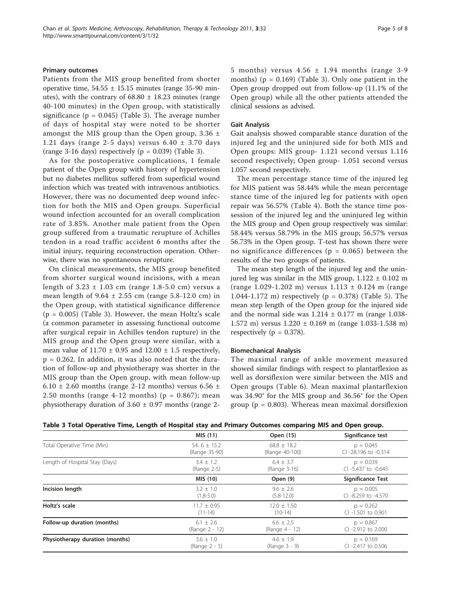Patients from the MIS group benefited from shorter operative time,  $54.55 \pm 15.15$  minutes (range 35-90 minutes), with the contrary of  $68.80 \pm 18.23$  minutes (range 40-100 minutes) in the Open group, with statistically significance ( $p = 0.045$ ) (Table 3). The average number of days of hospital stay were noted to be shorter amongst the MIS group than the Open group,  $3.36 \pm$ 1.21 days (range 2-5 days) versus  $6.40 \pm 3.70$  days (range 3-16 days) respectively ( $p = 0.039$ ) (Table 3).

As for the postoperative complications, 1 female patient of the Open group with history of hypertension but no diabetes mellitus suffered from superficial wound infection which was treated with intravenous antibiotics. However, there was no documented deep wound infection for both the MIS and Open groups. Superficial wound infection accounted for an overall complication rate of 3.85%. Another male patient from the Open group suffered from a traumatic rerupture of Achilles tendon in a road traffic accident 6 months after the initial injury, requiring reconstruction operation. Otherwise, there was no spontaneous rerupture.

On clinical measurements, the MIS group benefited from shorter surgical wound incisions, with a mean length of  $3.23 \pm 1.03$  cm (range 1.8-5.0 cm) versus a mean length of  $9.64 \pm 2.55$  cm (range  $5.8 - 12.0$  cm) in the Open group, with statistical significance difference  $(p = 0.005)$  (Table 3). However, the mean Holtz's scale (a common parameter in assessing functional outcome after surgical repair in Achilles tendon rupture) in the MIS group and the Open group were similar, with a mean value of  $11.70 \pm 0.95$  and  $12.00 \pm 1.5$  respectively,  $p = 0.262$ . In addition, it was also noted that the duration of follow-up and physiotherapy was shorter in the MIS group than the Open group, with mean follow-up 6.10  $\pm$  2.60 months (range 2-12 months) versus 6.56  $\pm$ 2.50 months (range 4-12 months) ( $p = 0.867$ ); mean physiotherapy duration of  $3.60 \pm 0.97$  months (range 25 months) versus  $4.56 \pm 1.94$  months (range 3-9 months) ( $p = 0.169$ ) (Table 3). Only one patient in the Open group dropped out from follow-up (11.1% of the Open group) while all the other patients attended the clinical sessions as advised.

#### Gait Analysis

Gait analysis showed comparable stance duration of the injured leg and the uninjured side for both MIS and Open groups: MIS group- 1.121 second versus 1.116 second respectively; Open group- 1.051 second versus 1.057 second respectively.

The mean percentage stance time of the injured leg for MIS patient was 58.44% while the mean percentage stance time of the injured leg for patients with open repair was 56.57% (Table [4\)](#page-5-0). Both the stance time possession of the injured leg and the uninjured leg within the MIS group and Open group respectively was similar: 58.44% versus 58.79% in the MIS group; 56.57% versus 56.73% in the Open group. T-test has shown there were no significance differences ( $p = 0.065$ ) between the results of the two groups of patients.

The mean step length of the injured leg and the uninjured leg was similar in the MIS group,  $1.122 \pm 0.102$  m (range 1.029-1.202 m) versus  $1.113 \pm 0.124$  m (range 1.044-1.172 m) respectively (p = 0.378) (Table [5\)](#page-5-0). The mean step length of the Open group for the injured side and the normal side was  $1.214 \pm 0.177$  m (range 1.038-1.572 m) versus 1.220 ± 0.169 m (range 1.033-1.538 m) respectively ( $p = 0.378$ ).

#### Biomechanical Analysis

The maximal range of ankle movement measured showed similar findings with respect to plantarflexion as well as dorsiflexion were similar between the MIS and Open groups (Table [6](#page-5-0)). Mean maximal plantarflexion was 34.90° for the MIS group and 36.56° for the Open group ( $p = 0.803$ ). Whereas mean maximal dorsiflexion

|  | Table 3 Total Operative Time, Length of Hospital stay and Primary Outcomes comparing MIS and Open group. |  |
|--|----------------------------------------------------------------------------------------------------------|--|
|  |                                                                                                          |  |

|                                 | MIS (11)        | Open (15)       | Significance test        |
|---------------------------------|-----------------|-----------------|--------------------------|
| Total Operative Time (Min)      | 54.6 $\pm$ 15.2 | $68.8 + 18.2$   | $p = 0.045$              |
|                                 | (Range 35-90)   | (Range 40-100)  | CI-28.196 to -0.314      |
| Length of Hospital Stay (Days)  | $3.4 + 1.2$     | $6.4 + 3.7$     | $p = 0.039$              |
|                                 | (Range 2-5)     | (Range 3-16)    | CI -5.437 to -0.645      |
|                                 | MIS (10)        | Open (9)        | <b>Significance Test</b> |
| Incision length                 | $3.2 \pm 1.0$   | $9.6 \pm 2.6$   | $p = 0.005$              |
|                                 | $(1.8 - 5.0)$   | $(5.8 - 12.0)$  | CI -8.259 to -4.570      |
| Holtz's scale                   | $11.7 \pm 0.95$ | $12.0 \pm 1.50$ | $p = 0.262$              |
|                                 | $(11 - 14)$     | $(10-14)$       | CI -1.501 to 0.901       |
| Follow-up duration (months)     | $6.1 + 2.6$     | $6.6 + 2.5$     | $p = 0.867$              |
|                                 | (Range 2 - 12)  | (Range 4 - 12)  | CI-2.912 to 2.000        |
| Physiotherapy duration (months) | $3.6 \pm 1.0$   | $4.6 + 1.9$     | $p = 0.169$              |
|                                 | $(Range 2 - 5)$ | (Range 3 - 9)   | $Cl - 2.417$ to 0.506    |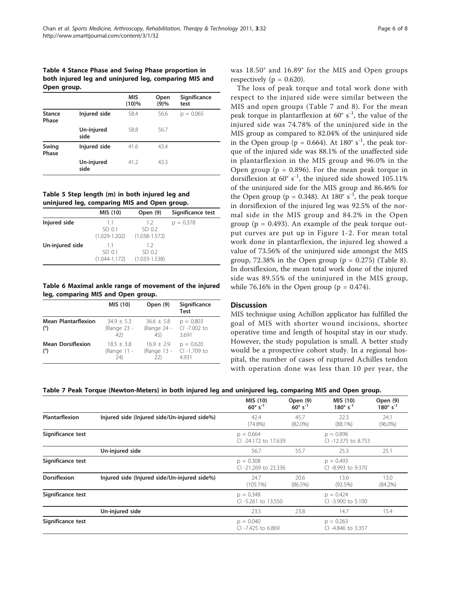## <span id="page-5-0"></span>Table 4 Stance Phase and Swing Phase proportion in both injured leg and uninjured leg, comparing MIS and Open group.

|                        |                    | <b>MIS</b><br>$(10)\%$ | Open<br>(9)% | Significance<br>test |
|------------------------|--------------------|------------------------|--------------|----------------------|
| <b>Stance</b><br>Phase | Injured side       | 58.4                   | 56.6         | $p = 0.065$          |
|                        | Un-injured<br>side | 58.8                   | 56.7         |                      |
| Swing<br>Phase         | Injured side       | 41.6                   | 43.4         |                      |
|                        | Un-injured<br>side | 41.2                   | 43.3         |                      |

Table 5 Step length (m) in both injured leg and uninjured leg, comparing MIS and Open group.

|                 | MIS (10)                          | Open (9)                           | Significance test |
|-----------------|-----------------------------------|------------------------------------|-------------------|
| Injured side    | 11<br>SD 0.1<br>$(1.029 - 1.202)$ | 1.2<br>SD 0.2<br>$(1.038 - 1.572)$ | $p = 0.378$       |
| Un-injured side | 11<br>SD 0.1<br>$(1.044 - 1.172)$ | 12<br>SD 0.2<br>$(1.033 - 1.538)$  |                   |

Table 6 Maximal ankle range of movement of the injured leg, comparing MIS and Open group.

|                                   | MIS (10)                            | Open (9)                             | Significance<br><b>Test</b>          |
|-----------------------------------|-------------------------------------|--------------------------------------|--------------------------------------|
| <b>Mean Plantarflexion</b><br>(°) | $34.9 + 5.3$<br>(Range 23 -<br>(42) | $36.6 \pm 5.8$<br>(Range 24 -<br>45) | $p = 0.803$<br>CI -7.002 to<br>3.691 |
| <b>Mean Dorsiflexion</b><br>(°)   | $18.5 + 3.8$<br>(Range 11 -<br>(24) | $16.9 + 2.9$<br>(Range 13 -<br>22)   | $p = 0.620$<br>CI -1.709 to<br>4.931 |

was 18.50° and 16.89° for the MIS and Open groups respectively ( $p = 0.620$ ).

The loss of peak torque and total work done with respect to the injured side were similar between the MIS and open groups (Table 7 and [8\)](#page-6-0). For the mean peak torque in plantarflexion at  $60^{\circ}$  s<sup>-1</sup>, the value of the injured side was 74.78% of the uninjured side in the MIS group as compared to 82.04% of the uninjured side in the Open group (p = 0.664). At 180 $^{\circ}$  s<sup>-1</sup>, the peak torque of the injured side was 88.1% of the unaffected side in plantarflexion in the MIS group and 96.0% in the Open group ( $p = 0.896$ ). For the mean peak torque in dorsiflexion at  $60^{\circ}$  s<sup>-1</sup>, the injured side showed 105.11% of the uninjured side for the MIS group and 86.46% for the Open group (p = 0.348). At 180 $^{\circ}$  s<sup>-1</sup>, the peak torque in dorsiflexion of the injured leg was 92.5% of the normal side in the MIS group and 84.2% in the Open group ( $p = 0.493$ ). An example of the peak torque output curves are put up in Figure [1-2.](#page-6-0) For mean total work done in plantarflexion, the injured leg showed a value of 73.56% of the uninjured side amongst the MIS group, 72.38% in the Open group ( $p = 0.275$ ) (Table [8](#page-6-0)). In dorsiflexion, the mean total work done of the injured side was 89.55% of the uninjured in the MIS group, while 76.16% in the Open group ( $p = 0.474$ ).

# **Discussion**

MIS technique using Achillon applicator has fulfilled the goal of MIS with shorter wound incisions, shorter operative time and length of hospital stay in our study. However, the study population is small. A better study would be a prospective cohort study. In a regional hospital, the number of cases of ruptured Achilles tendon with operation done was less than 10 per year, the

Table 7 Peak Torque (Newton-Meters) in both injured leg and uninjured leg, comparing MIS and Open group.

|                     |                                              | MIS (10)<br>$60^{\circ}$ s <sup>-1</sup> | Open (9)<br>$60^{\circ}$ s <sup>-1</sup> | MIS (10)<br>$180^{\circ}$ s <sup>-1</sup> | Open (9)<br>$180^{\circ}$ s <sup>-1</sup> |
|---------------------|----------------------------------------------|------------------------------------------|------------------------------------------|-------------------------------------------|-------------------------------------------|
| Plantarflexion      | Injured side (Injured side/Un-injured side%) | 42.4<br>$(74.8\%)$                       | 45.7<br>$(82.0\%)$                       | 22.3<br>$(88.1\%)$                        | 24.1<br>$(96.0\%)$                        |
| Significance test   |                                              | $p = 0.664$<br>CI -24.172 to 17.639      |                                          | $p = 0.896$<br>CI-12.375 to 8.753         |                                           |
|                     | Un-injured side                              | 56.7                                     | 55.7                                     | 25.3                                      | 25.1                                      |
| Significance test   |                                              | $p = 0.308$<br>CI -21.269 to 23.336      |                                          | $p = 0.493$<br>CI -8.993 to 9.370         |                                           |
| <b>Dorsiflexion</b> | Injured side (Injured side/Un-injured side%) | 24.7<br>$(105.1\%)$                      | 20.6<br>$(86.5\%)$                       | 13.6<br>(92.5%)                           | 13.0<br>$(84.2\%)$                        |
| Significance test   |                                              | $p = 0.348$<br>CI -5.261 to 13.550       |                                          | $p = 0.424$<br>CI -3.900 to 5.100         |                                           |
|                     | Un-injured side                              | 23.5                                     | 23.8                                     | 14.7                                      | 15.4                                      |
| Significance test   |                                              | $p = 0.040$<br>$Cl - 7.425$ to 6.869     |                                          | $p = 0.263$<br>$Cl - 4.846$ to 3.357      |                                           |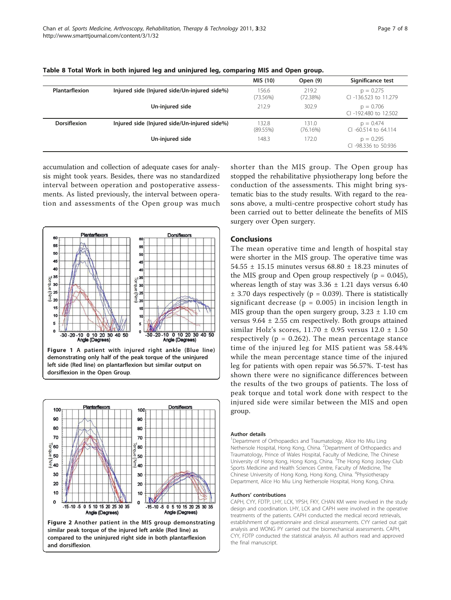|                       |                                              | MIS (10)             | Open (9)          | Significance test                      |
|-----------------------|----------------------------------------------|----------------------|-------------------|----------------------------------------|
| <b>Plantarflexion</b> | Injured side (Injured side/Un-injured side%) | 156.6<br>$(73.56\%)$ | 219.2<br>(72.38%) | $p = 0.275$<br>CI-136.523 to 11.279    |
|                       | Un-injured side                              | 212.9                | 302.9             | $p = 0.706$<br>CI-192,480 to 12.502    |
| <b>Dorsiflexion</b>   | Injured side (Injured side/Un-injured side%) | 132.8<br>(89.55%)    | 131.0<br>(76.16%) | $p = 0.474$<br>$Cl - 60.514$ to 64.114 |
|                       | Un-injured side                              | 148.3                | 172.0             | $p = 0.295$<br>CI-98.336 to 50.936     |

<span id="page-6-0"></span>Table 8 Total Work in both injured leg and uninjured leg, comparing MIS and Open group.

accumulation and collection of adequate cases for analysis might took years. Besides, there was no standardized interval between operation and postoperative assessments. As listed previously, the interval between operation and assessments of the Open group was much



Figure 1 A patient with injured right ankle (Blue line) demonstrating only half of the peak torque of the uninjured left side (Red line) on plantarflexion but similar output on dorsiflexion in the Open Group.



compared to the uninjured right side in both plantarflexion and dorsiflexion.

shorter than the MIS group. The Open group has stopped the rehabilitative physiotherapy long before the conduction of the assessments. This might bring systematic bias to the study results. With regard to the reasons above, a multi-centre prospective cohort study has been carried out to better delineate the benefits of MIS surgery over Open surgery.

# Conclusions

The mean operative time and length of hospital stay were shorter in the MIS group. The operative time was 54.55 ± 15.15 minutes versus 68.80 ± 18.23 minutes of the MIS group and Open group respectively  $(p = 0.045)$ , whereas length of stay was  $3.36 \pm 1.21$  days versus  $6.40$  $\pm$  3.70 days respectively (p = 0.039). There is statistically significant decrease ( $p = 0.005$ ) in incision length in MIS group than the open surgery group,  $3.23 \pm 1.10$  cm versus  $9.64 \pm 2.55$  cm respectively. Both groups attained similar Holz's scores,  $11.70 \pm 0.95$  versus  $12.0 \pm 1.50$ respectively ( $p = 0.262$ ). The mean percentage stance time of the injured leg for MIS patient was 58.44% while the mean percentage stance time of the injured leg for patients with open repair was 56.57%. T-test has shown there were no significance differences between the results of the two groups of patients. The loss of peak torque and total work done with respect to the injured side were similar between the MIS and open group.

#### Author details

<sup>1</sup>Department of Orthopaedics and Traumatology, Alice Ho Miu Ling Nethersole Hospital, Hong Kong, China. <sup>2</sup>Department of Orthopaedics and Traumatology, Prince of Wales Hospital, Faculty of Medicine, The Chinese University of Hong Kong, Hong Kong, China. <sup>3</sup>The Hong Kong Jockey Club Sports Medicine and Health Sciences Centre, Faculty of Medicine, The Chinese University of Hong Kong, Hong Kong, China. <sup>4</sup>Physiotherapy Department, Alice Ho Miu Ling Nethersole Hospital, Hong Kong, China.

#### Authors' contributions

CAPH, CYY, FDTP, LHY, LCK, YPSH, FKY, CHAN KM were involved in the study design and coordination. LHY, LCK and CAPH were involved in the operative treatments of the patients. CAPH conducted the medical record retrievals, establishment of questionnaire and clinical assessments. CYY carried out gait analysis and WONG PY carried out the biomechanical assessments. CAPH, CYY, FDTP conducted the statistical analysis. All authors read and approved the final manuscript.